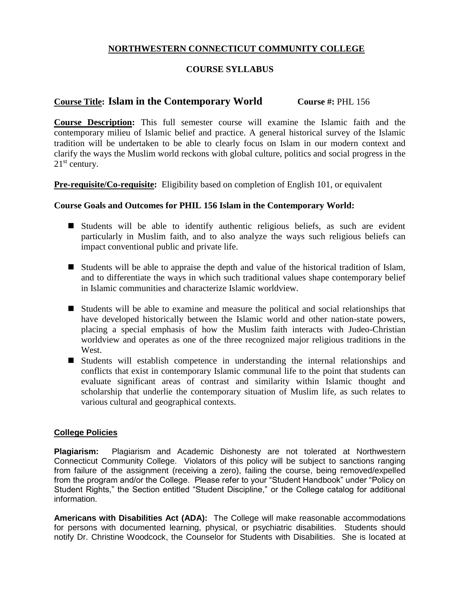## **NORTHWESTERN CONNECTICUT COMMUNITY COLLEGE**

## **COURSE SYLLABUS**

# **Course Title: Islam in the Contemporary World Course #:** PHL 156

**Course Description:** This full semester course will examine the Islamic faith and the contemporary milieu of Islamic belief and practice. A general historical survey of the Islamic tradition will be undertaken to be able to clearly focus on Islam in our modern context and clarify the ways the Muslim world reckons with global culture, politics and social progress in the  $21<sup>st</sup>$  century.

**Pre-requisite/Co-requisite:** Eligibility based on completion of English 101, or equivalent

### **Course Goals and Outcomes for PHIL 156 Islam in the Contemporary World:**

- Students will be able to identify authentic religious beliefs, as such are evident particularly in Muslim faith, and to also analyze the ways such religious beliefs can impact conventional public and private life.
- Students will be able to appraise the depth and value of the historical tradition of Islam, and to differentiate the ways in which such traditional values shape contemporary belief in Islamic communities and characterize Islamic worldview.
- Students will be able to examine and measure the political and social relationships that have developed historically between the Islamic world and other nation-state powers, placing a special emphasis of how the Muslim faith interacts with Judeo-Christian worldview and operates as one of the three recognized major religious traditions in the West.
- Students will establish competence in understanding the internal relationships and conflicts that exist in contemporary Islamic communal life to the point that students can evaluate significant areas of contrast and similarity within Islamic thought and scholarship that underlie the contemporary situation of Muslim life, as such relates to various cultural and geographical contexts.

### **College Policies**

**Plagiarism:** Plagiarism and Academic Dishonesty are not tolerated at Northwestern Connecticut Community College. Violators of this policy will be subject to sanctions ranging from failure of the assignment (receiving a zero), failing the course, being removed/expelled from the program and/or the College. Please refer to your "Student Handbook" under "Policy on Student Rights," the Section entitled "Student Discipline," or the College catalog for additional information.

**Americans with Disabilities Act (ADA):** The College will make reasonable accommodations for persons with documented learning, physical, or psychiatric disabilities. Students should notify Dr. Christine Woodcock, the Counselor for Students with Disabilities. She is located at